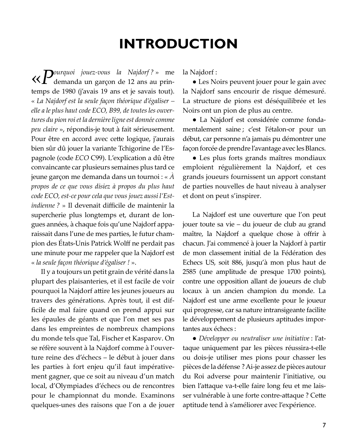## **INTRODUCTION**

 $\ll$   $P$ <sup>ourquoi</sup> jouez-vous la Najdorf?» me demanda un garçon de 12 ans au printemps de 1980 (j'avais 19 ans et je savais tout). « La Najdorf est la seule façon théorique d'égaliser – elle a le plus haut code ECO, B99, de toutes les ouvertures du pion roi et la dernière ligne est donnée comme peu claire », répondis-je tout à fait sérieusement. Pour être en accord avec cette logique, j'aurais bien sûr dû jouer la variante Tchigorine de l'Espagnole (code ECO C99). L'explication a dû être convaincante car plusieurs semaines plus tard ce jeune garçon me demanda dans un tournoi : «  $\hat{A}$ propos de ce que vous disiez à propos du plus haut code ECO, est-ce pour cela que vous jouez aussi l'Est*indienne* ? » Il devenait difficile de maintenir la supercherie plus longtemps et, durant de longues années, à chaque fois qu'une Najdorf apparaissait dans l'une de mes parties, le futur champion des États-Unis Patrick Wolff ne perdait pas une minute pour me rappeler que la Najdorf est « la seule façon théorique d'égaliser ! ».

Il y a toujours un petit grain de vérité dans la plupart des plaisanteries, et il est facile de voir pourquoi la Najdorf attire les jeunes joueurs au travers des générations. Après tout, il est difficile de mal faire quand on prend appui sur les épaules de géants et que l'on met ses pas dans les empreintes de nombreux champions du monde tels que Tal, Fischer et Kasparov. On se réfère souvent à la Najdorf comme à l'ouverture reine des d'échecs - le début à jouer dans les parties à fort enjeu qu'il faut impérativement gagner, que ce soit au niveau d'un match local, d'Olympiades d'échecs ou de rencontres pour le championnat du monde. Examinons quelques-unes des raisons que l'on a de jouer la Najdorf:

· Les Noirs peuvent jouer pour le gain avec la Najdorf sans encourir de risque démesuré. La structure de pions est déséquilibrée et les Noirs ont un pion de plus au centre.

· La Najdorf est considérée comme fondamentalement saine; c'est l'étalon-or pour un début, car personne n'a jamais pu démontrer une façon forcée de prendre l'avantage avec les Blancs.

· Les plus forts grands maîtres mondiaux emploient régulièrement la Najdorf, et ces grands joueurs fournissent un apport constant de parties nouvelles de haut niveau à analyser et dont on peut s'inspirer.

La Najdorf est une ouverture que l'on peut jouer toute sa vie – du joueur de club au grand maître, la Najdorf a quelque chose à offrir à chacun. J'ai commencé à jouer la Najdorf à partir de mon classement initial de la Fédération des Echecs US, soit 886, jusqu'à mon plus haut de 2585 (une amplitude de presque 1700 points), contre une opposition allant de joueurs de club locaux à un ancien champion du monde. La Najdorf est une arme excellente pour le joueur qui progresse, car sa nature intransigeante facilite le développement de plusieurs aptitudes importantes aux échecs :

• Développer ou neutraliser une initiative : l'attaque uniquement par les pièces réussira-t-elle ou dois-je utiliser mes pions pour chasser les pièces de la défense ? Ai-je assez de pièces autour du Roi adverse pour maintenir l'initiative, ou bien l'attaque va-t-elle faire long feu et me laisser vulnérable à une forte contre-attaque ? Cette aptitude tend à s'améliorer avec l'expérience.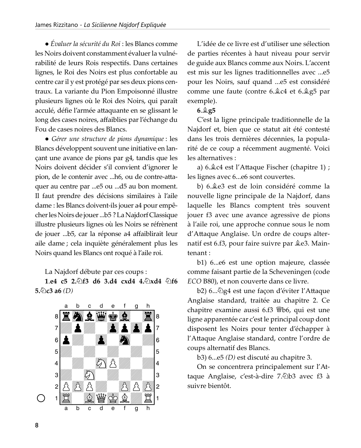$\bullet$  Évaluer la sécurité du Roi : les Blancs comme les Noirs doivent constamment évaluer la vulnérabilité de leurs Rois respectifs. Dans certaines lignes, le Roi des Noirs est plus confortable au centre car il y est protégé par ses deux pions centraux. La variante du Pion Empoisonné illustre plusieurs lignes où le Roi des Noirs, qui paraît acculé, défie l'armée attaquante en se glissant le long des cases noires, affaiblies par l'échange du Fou de cases noires des Blancs.

· Gérer une structure de pions dynamique : les Blancs développent souvent une initiative en lançant une avance de pions par g4, tandis que les Noirs doivent décider s'il convient d'ignorer le pion, de le contenir avec ...h6, ou de contre-attaquer au centre par ...e5 ou ...d5 au bon moment. Il faut prendre des décisions similaires à l'aile dame : les Blancs doivent-ils jouer a4 pour empêcher les Noirs de jouer ...b5 ? La Najdorf Classique illustre plusieurs lignes où les Noirs se réfrènent de jouer ...b5, car la réponse a4 affaiblirait leur aile dame ; cela inquiète généralement plus les Noirs quand les Blancs ont roqué à l'aile roi.

La Najdorf débute par ces coups :

1.e4 c5 2.  $\circ$ f3 d6 3.d4 cxd4 4. $\circ$ xd4  $\circ$ f6 5. $Q$ c3 a6 (D)



L'idée de ce livre est d'utiliser une sélection de parties récentes à haut niveau pour servir de guide aux Blancs comme aux Noirs. L'accent est mis sur les lignes traditionnelles avec ...e5 pour les Noirs, sauf quand ...e5 est considéré comme une faute (contre 6. c4 et 6. g5 par exemple).

## $6.\angle 25$

C'est la ligne principale traditionnelle de la Najdorf et, bien que ce statut ait été contesté dans les trois dernières décennies, la popularité de ce coup a récemment augmenté. Voici les alternatives :

a)  $6.\angle 4$  est l'Attaque Fischer (chapitre 1) ; les lignes avec 6...e6 sont couvertes.

b) 6. ê e3 est de loin considéré comme la nouvelle ligne principale de la Najdorf, dans laquelle les Blancs comptent très souvent jouer f3 avec une avance agressive de pions à l'aile roi, une approche connue sous le nom d'Attaque Anglaise. Un ordre de coups alternatif est 6.f3, pour faire suivre par  $Q$ e3. Maintenant:

b1) 6...e6 est une option majeure, classée comme faisant partie de la Scheveningen (code ECO B80), et non couverte dans ce livre.

b2) 6.....@g4 est une façon d'éviter l'Attaque Anglaise standard, traitée au chapitre 2. Ce chapitre examine aussi 6.f3 \btmbbbbbbbbbbc qui est une ligne apparentée car c'est le principal coup dont disposent les Noirs pour tenter d'échapper à l'Attaque Anglaise standard, contre l'ordre de coups alternatif des Blancs.

b3) 6...e5 (D) est discuté au chapitre 3.

On se concentrera principalement sur l'Attaque Anglaise, c'est-à-dire 7.⁄2b3 avec f3 à suivre bientôt.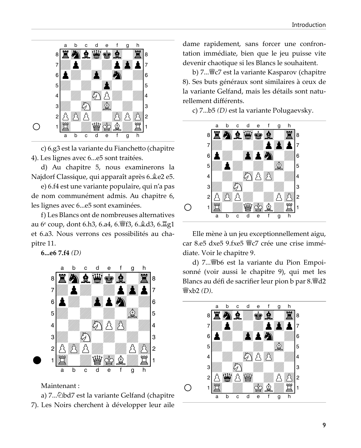

c) 6.g3 est la variante du Fianchetto (chapitre 4). Les lignes avec 6...e5 sont traitées.

d) Au chapitre 5, nous examinerons la Najdorf Classique, qui apparaît après 6. ê e 2 e 5.

e) 6.f4 est une variante populaire, qui n'a pas de nom communément admis. Au chapitre 6, les lignes avec 6...e5 sont examinées.

f) Les Blancs ont de nombreuses alternatives au 6<sup>e</sup> coup, dont 6.h3, 6.a4, 6. lf3, 6. gd3, 6. gd1 et 6.a3. Nous verrons ces possibilités au chapitre 11.

 $6...e67.f4(D)$ 



Maintenant:

a) 7... Dbd7 est la variante Gelfand (chapitre 7). Les Noirs cherchent à développer leur aile dame rapidement, sans forcer une confrontation immédiate, bien que le jeu puisse vite devenir chaotique si les Blancs le souhaitent.

b) 7... sc est la variante Kasparov (chapitre 8). Ses buts généraux sont similaires à ceux de la variante Gelfand, mais les détails sont naturellement différents.

c) 7...b5 (D) est la variante Polugaevsky.



Elle mène à un jeu exceptionnellement aigu, car 8.e5 dxe5 9.fxe5 Wc7 crée une crise immédiate. Voir le chapitre 9.

d) 7... ib6 est la variante du Pion Empoisonné (voir aussi le chapitre 9), qui met les Blancs au défi de sacrifier leur pion b par 8. Wed2 營xb2 (D).